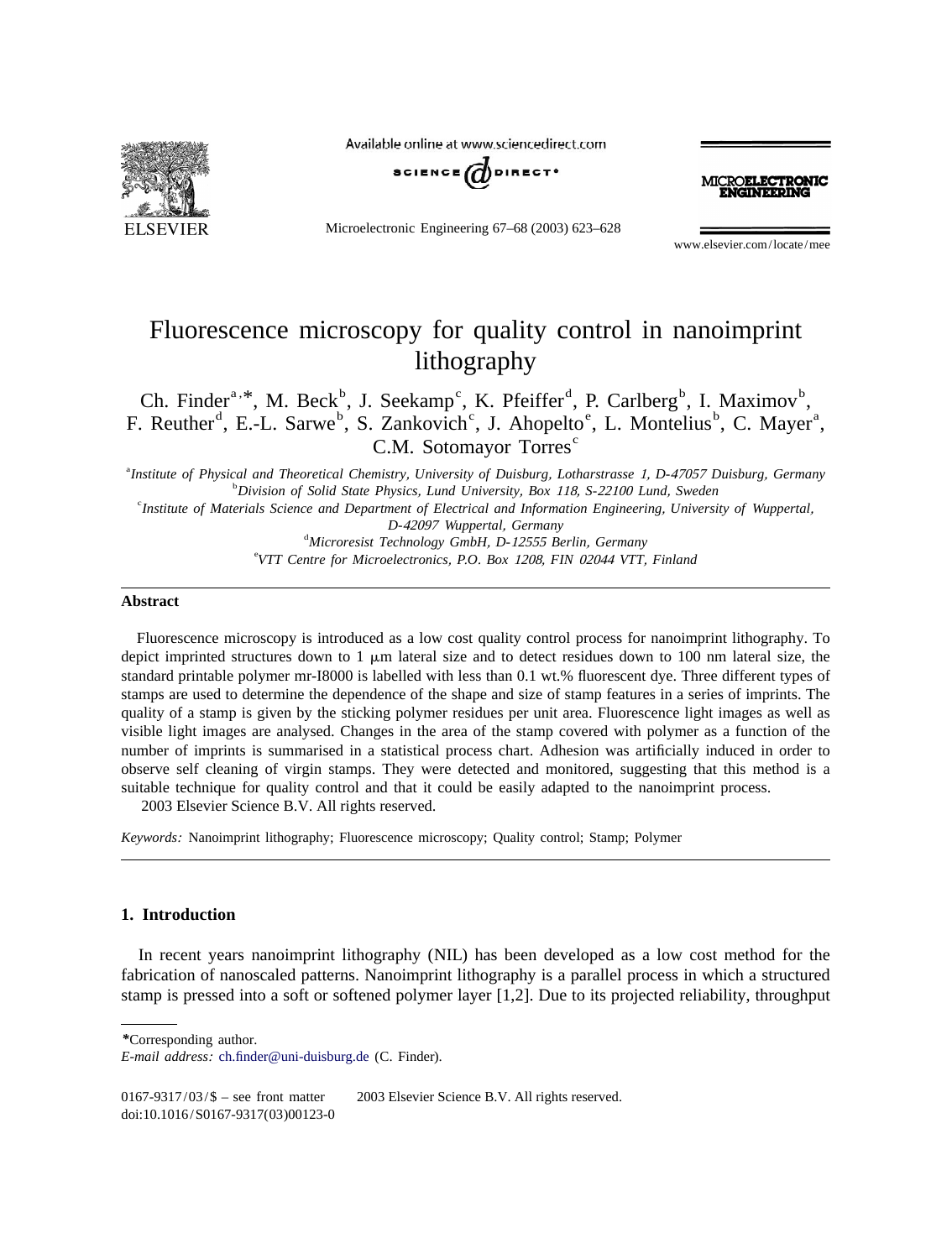

Available online at www.sciencedirect.com



Microelectronic Engineering 67–68 (2003) 623–628

**ROELECTRONIC** 

www.elsevier.com/locate/mee

## Fluorescence microscopy for quality control in nanoimprint lithography

Ch. Finder<sup>a, \*</sup>, M. Beck<sup>b</sup>, J. Seekamp<sup>c</sup>, K. Pfeiffer<sup>d</sup>, P. Carlberg<sup>b</sup>, I. Maximov<sup>b</sup>, F. Reuther<sup>d</sup>, E.-L. Sarwe<sup>b</sup>, S. Zankovich<sup>c</sup>, J. Ahopelto<sup>e</sup>, L. Montelius<sup>b</sup>, C. Mayer<sup>a</sup>, C.M. Sotomayor Torres<sup>c</sup>

a *Institute of Physical and Theoretical Chemistry*, *University of Duisburg*, *Lotharstrasse* 1, *<sup>D</sup>*-<sup>47057</sup> *Duisburg*, *Germany* <sup>b</sup> *Division of Solid State Physics*, *Lund University*, *Box* 118, *<sup>S</sup>*-<sup>22100</sup> *Lund*, *Sweden* <sup>c</sup> *Institute of Materials Science and Department of Electrical and Information Engineering*, *University of Wuppertal*, *D*-42097 *Wuppertal*, *Germany Microresist Technology GmbH*, *<sup>D</sup>*-<sup>12555</sup> *Berlin*, *Germany* <sup>e</sup> *VTT Centre for Microelectronics*, *P*.*O*. *Box* 1208, *FIN* <sup>02044</sup> *VTT*, *Finland*

#### **Abstract**

Fluorescence microscopy is introduced as a low cost quality control process for nanoimprint lithography. To depict imprinted structures down to  $1 \mu m$  lateral size and to detect residues down to  $100 \mu m$  lateral size, the standard printable polymer mr-I8000 is labelled with less than 0.1 wt.% fluorescent dye. Three different types of stamps are used to determine the dependence of the shape and size of stamp features in a series of imprints. The quality of a stamp is given by the sticking polymer residues per unit area. Fluorescence light images as well as visible light images are analysed. Changes in the area of the stamp covered with polymer as a function of the number of imprints is summarised in a statistical process chart. Adhesion was artificially induced in order to observe self cleaning of virgin stamps. They were detected and monitored, suggesting that this method is a suitable technique for quality control and that it could be easily adapted to the nanoimprint process. 2003 Elsevier Science B.V. All rights reserved.

*Keywords*: Nanoimprint lithography; Fluorescence microscopy; Quality control; Stamp; Polymer

### **1. Introduction**

In recent years nanoimprint lithography (NIL) has been developed as a low cost method for the fabrication of nanoscaled patterns. Nanoimprint lithography is a parallel process in which a structured stamp is pressed into a soft or softened polymer layer [1,2]. Due to its projected reliability, throughput

*\**Corresponding author.

0167-9317/03/\$ – see front matter © 2003 Elsevier Science B.V. All rights reserved. doi:10.1016/S0167-9317(03)00123-0

*E*-*mail address*: [ch.finder@uni-duisburg.de](mailto:ch.finder@uni-duisburg.de) (C. Finder).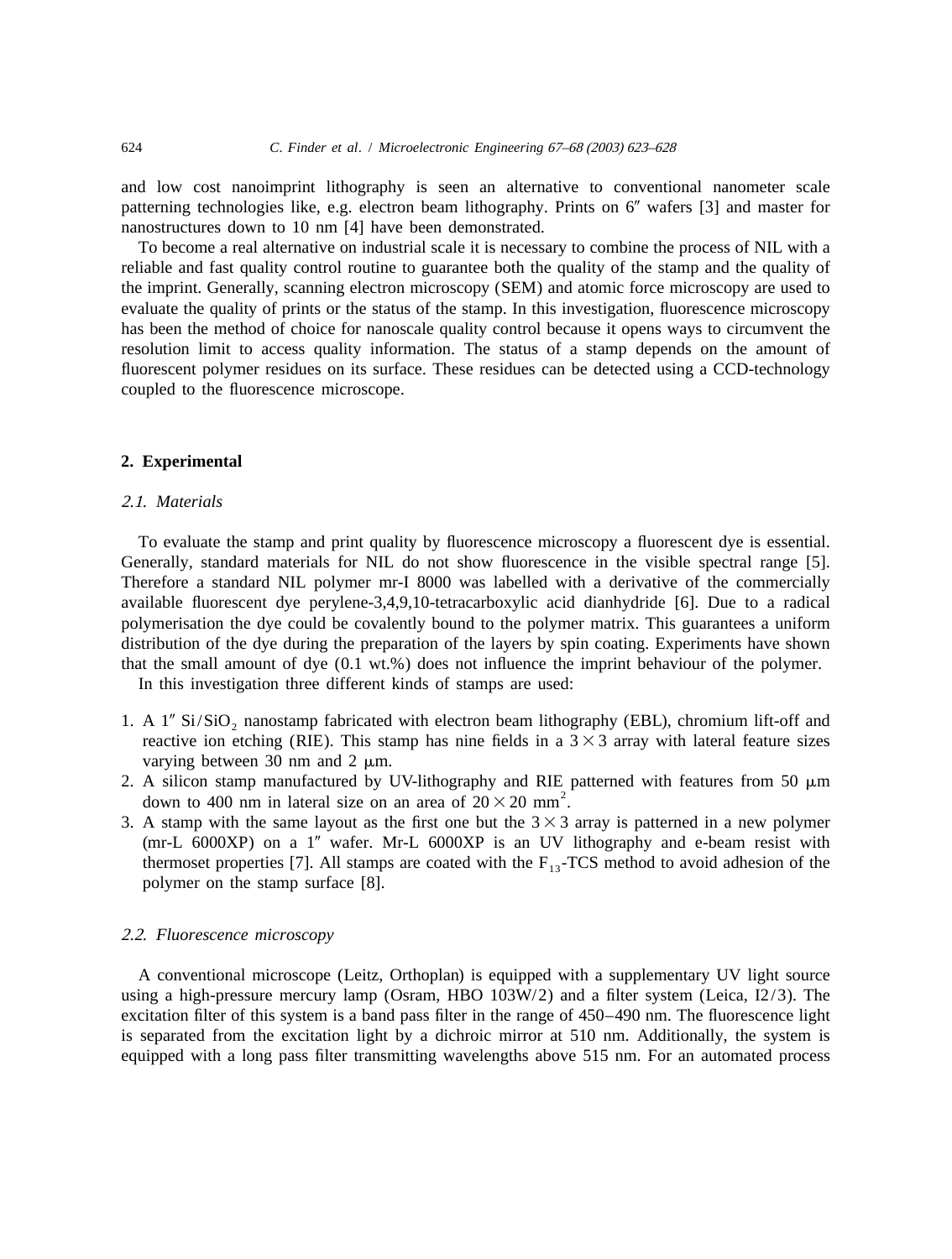and low cost nanoimprint lithography is seen an alternative to conventional nanometer scale patterning technologies like, e.g. electron beam lithography. Prints on  $6<sup>n</sup>$  wafers [3] and master for nanostructures down to 10 nm [4] have been demonstrated.

To become a real alternative on industrial scale it is necessary to combine the process of NIL with a reliable and fast quality control routine to guarantee both the quality of the stamp and the quality of the imprint. Generally, scanning electron microscopy (SEM) and atomic force microscopy are used to evaluate the quality of prints or the status of the stamp. In this investigation, fluorescence microscopy has been the method of choice for nanoscale quality control because it opens ways to circumvent the resolution limit to access quality information. The status of a stamp depends on the amount of fluorescent polymer residues on its surface. These residues can be detected using a CCD-technology coupled to the fluorescence microscope.

#### **2. Experimental**

#### 2 .1. *Materials*

To evaluate the stamp and print quality by fluorescence microscopy a fluorescent dye is essential. Generally, standard materials for NIL do not show fluorescence in the visible spectral range [5]. Therefore a standard NIL polymer mr-I 8000 was labelled with a derivative of the commercially available fluorescent dye perylene-3,4,9,10-tetracarboxylic acid dianhydride [6]. Due to a radical polymerisation the dye could be covalently bound to the polymer matrix. This guarantees a uniform distribution of the dye during the preparation of the layers by spin coating. Experiments have shown that the small amount of dye (0.1 wt.%) does not influence the imprint behaviour of the polymer.

In this investigation three different kinds of stamps are used:

- 1. A  $1''$  Si/SiO<sub>2</sub> nanostamp fabricated with electron beam lithography (EBL), chromium lift-off and reactive ion etching (RIE). This stamp has nine fields in a  $3 \times 3$  array with lateral feature sizes varying between 30 nm and 2  $\mu$ m.
- 2. A silicon stamp manufactured by UV-lithography and RIE patterned with features from 50  $\mu$ m down to 400 nm in lateral size on an area of  $20 \times 20$  mm<sup>2</sup>.
- 3. A stamp with the same layout as the first one but the  $3 \times 3$  array is patterned in a new polymer ( $mr-L$  6000XP) on a 1" wafer. Mr-L 6000XP is an UV lithography and e-beam resist with thermoset properties [7]. All stamps are coated with the  $F_{13}$ -TCS method to avoid adhesion of the polymer on the stamp surface [8].

#### 2 .2. *Fluorescence microscopy*

A conventional microscope (Leitz, Orthoplan) is equipped with a supplementary UV light source using a high-pressure mercury lamp (Osram, HBO 103W/2) and a filter system (Leica, I2/3). The excitation filter of this system is a band pass filter in the range of 450–490 nm. The fluorescence light is separated from the excitation light by a dichroic mirror at 510 nm. Additionally, the system is equipped with a long pass filter transmitting wavelengths above 515 nm. For an automated process